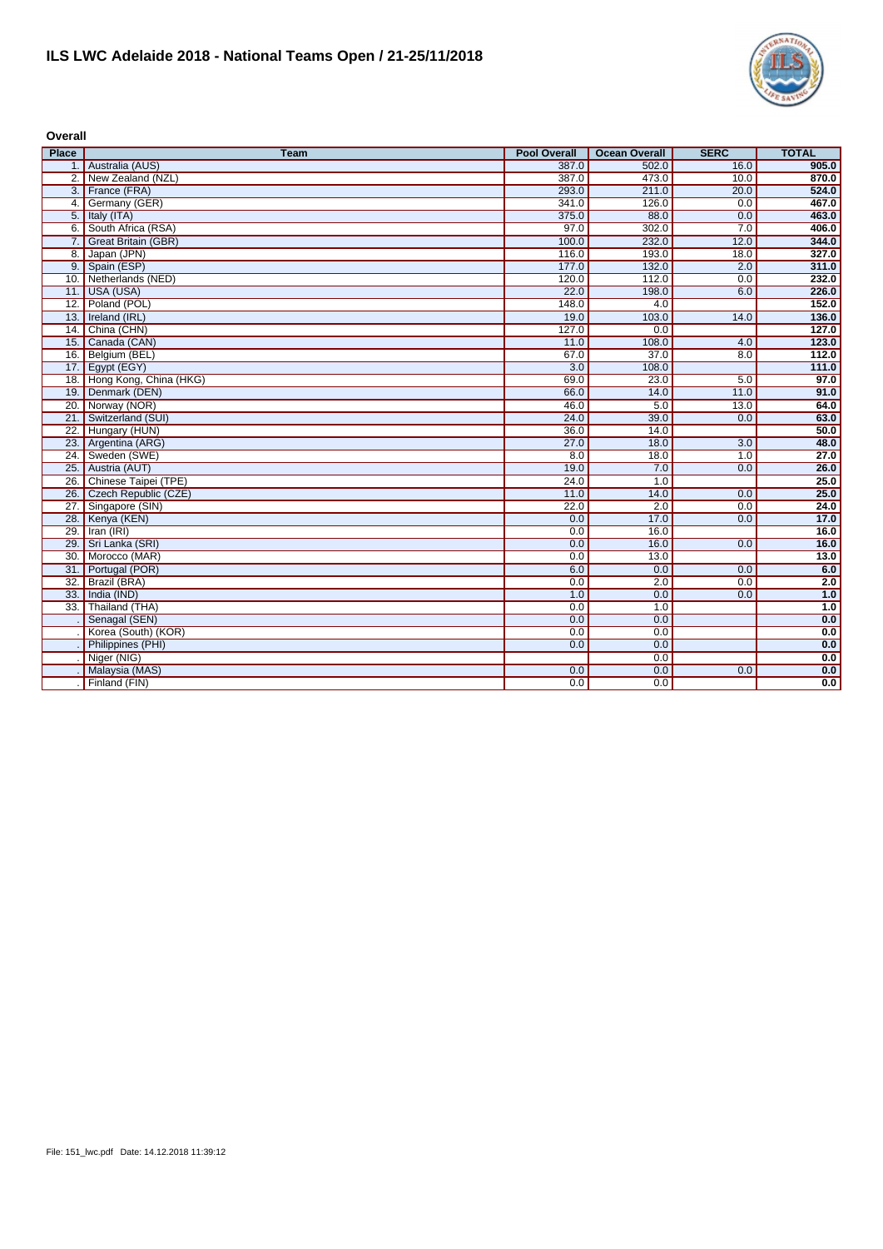

**Overall**

| <b>Place</b>      | <b>Team</b>                | <b>Pool Overall</b> | <b>Ocean Overall</b> | <b>SERC</b> | <b>TOTAL</b> |
|-------------------|----------------------------|---------------------|----------------------|-------------|--------------|
|                   | 1. Australia (AUS)         | 387.0               | 502.0                | 16.0        | 905.0        |
|                   | 2. New Zealand (NZL)       | 387.0               | 473.0                | 10.0        | 870.0        |
|                   | 3. France (FRA)            | 293.0               | 211.0                | 20.0        | 524.0        |
|                   | 4. Germany (GER)           | 341.0               | 126.0                | 0.0         | 467.0        |
|                   | 5. Italy (ITA)             | 375.0               | 88.0                 | 0.0         | 463.0        |
|                   | 6. South Africa (RSA)      | 97.0                | 302.0                | 7.0         | 406.0        |
|                   | 7. Great Britain (GBR)     | 100.0               | 232.0                | 12.0        | 344.0        |
|                   | 8. Japan (JPN)             | 116.0               | 193.0                | 18.0        | 327.0        |
|                   | 9. Spain (ESP)             | 177.0               | 132.0                | 2.0         | 311.0        |
|                   | 10. Netherlands (NED)      | 120.0               | 112.0                | 0.0         | 232.0        |
|                   | 11. USA (USA)              | 22.0                | 198.0                | 6.0         | 226.0        |
|                   | 12. Poland (POL)           | 148.0               | 4.0                  |             | 152.0        |
|                   | 13. Ireland (IRL)          | 19.0                | 103.0                | 14.0        | 136.0        |
|                   | 14. China (CHN)            | 127.0               | 0.0                  |             | 127.0        |
|                   | 15. Canada (CAN)           | 11.0                | 108.0                | 4.0         | 123.0        |
|                   | 16. Belgium (BEL)          | 67.0                | 37.0                 | 8.0         | 112.0        |
|                   | 17. Egypt (EGY)            | 3.0                 | 108.0                |             | 111.0        |
|                   | 18. Hong Kong, China (HKG) | 69.0                | 23.0                 | 5.0         | 97.0         |
|                   | 19. Denmark (DEN)          | 66.0                | 14.0                 | 11.0        | 91.0         |
|                   | 20. Norway (NOR)           | 46.0                | 5.0                  | 13.0        | 64.0         |
|                   | 21. Switzerland (SUI)      | 24.0                | 39.0                 | 0.0         | 63.0         |
| $\overline{22}$ . | Hungary (HUN)              | 36.0                | 14.0                 |             | 50.0         |
|                   | 23. Argentina (ARG)        | 27.0                | 18.0                 | 3.0         | 48.0         |
|                   | 24. Sweden (SWE)           | 8.0                 | 18.0                 | 1.0         | 27.0         |
|                   | 25. Austria (AUT)          | 19.0                | 7.0                  | 0.0         | 26.0         |
| 26.               | Chinese Taipei (TPE)       | 24.0                | 1.0                  |             | 25.0         |
|                   | 26. Czech Republic (CZE)   | 11.0                | 14.0                 | 0.0         | 25.0         |
|                   | 27. Singapore (SIN)        | 22.0                | 2.0                  | 0.0         | 24.0         |
|                   | 28. Kenya (KEN)            | 0.0                 | 17.0                 | 0.0         | 17.0         |
| 29.               | Iran (IRI)                 | 0.0                 | 16.0                 |             | 16.0         |
| 29.               | Sri Lanka (SRI)            | 0.0                 | 16.0                 | 0.0         | 16.0         |
| 30.               | Morocco (MAR)              | 0.0                 | 13.0                 |             | 13.0         |
| 31.               | Portugal (POR)             | 6.0                 | 0.0                  | 0.0         | 6.0          |
| $\overline{32}$   | Brazil (BRA)               | 0.0                 | 2.0                  | 0.0         | 2.0          |
| 33.               | India (IND)                | 1.0                 | 0.0                  | 0.0         | 1.0          |
|                   | 33. Thailand (THA)         | 0.0                 | 1.0                  |             | 1.0          |
|                   | Senagal (SEN)              | 0.0                 | 0.0                  |             | 0.0          |
|                   | Korea (South) (KOR)        | 0.0                 | 0.0                  |             | 0.0          |
|                   | Philippines (PHI)          | 0.0                 | 0.0                  |             | 0.0          |
|                   | Niger (NIG)                |                     | 0.0                  |             | 0.0          |
|                   | Malaysia (MAS)             | 0.0                 | 0.0                  | 0.0         | 0.0          |
|                   | Finland (FIN)              | 0.0                 | 0.0                  |             | 0.0          |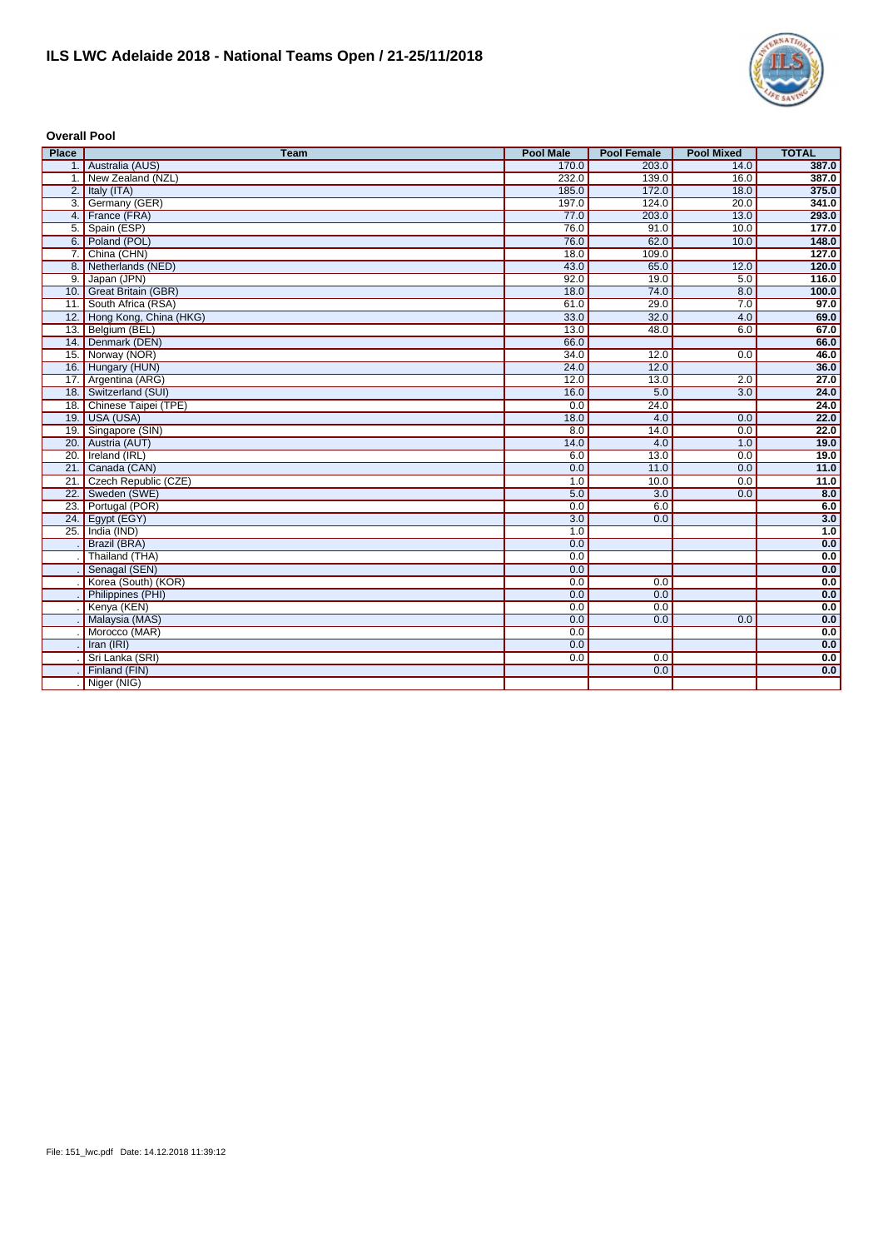

**Overall Pool**

| <b>Place</b> | <b>Team</b>                | <b>Pool Male</b> | <b>Pool Female</b> | <b>Pool Mixed</b> | <b>TOTAL</b> |
|--------------|----------------------------|------------------|--------------------|-------------------|--------------|
|              | 1. Australia (AUS)         | 170.0            | 203.0              | 14.0              | 387.0        |
|              | 1. New Zealand (NZL)       | 232.0            | 139.0              | 16.0              | 387.0        |
|              | 2. Italy $(ITA)$           | 185.0            | 172.0              | 18.0              | 375.0        |
|              | 3. Germany (GER)           | 197.0            | 124.0              | 20.0              | 341.0        |
|              | 4. France (FRA)            | 77.0             | 203.0              | 13.0              | 293.0        |
|              | 5. Spain (ESP)             | 76.0             | 91.0               | 10.0              | 177.0        |
|              | 6. Poland (POL)            | 76.0             | 62.0               | 10.0              | 148.0        |
|              | 7. China (CHN)             | 18.0             | 109.0              |                   | 127.0        |
|              | 8. Netherlands (NED)       | 43.0             | 65.0               | 12.0              | 120.0        |
|              | 9. Japan (JPN)             | 92.0             | 19.0               | 5.0               | 116.0        |
|              | 10. Great Britain (GBR)    | 18.0             | 74.0               | 8.0               | 100.0        |
| 11.          | South Africa (RSA)         | 61.0             | 29.0               | 7.0               | 97.0         |
|              | 12. Hong Kong, China (HKG) | 33.0             | 32.0               | 4.0               | 69.0         |
|              | 13. Belgium (BEL)          | 13.0             | 48.0               | 6.0               | 67.0         |
|              | 14. Denmark (DEN)          | 66.0             |                    |                   | 66.0         |
|              | 15. Norway (NOR)           | 34.0             | 12.0               | 0.0               | 46.0         |
|              | 16. Hungary (HUN)          | 24.0             | 12.0               |                   | 36.0         |
|              | 17. Argentina (ARG)        | 12.0             | 13.0               | 2.0               | 27.0         |
|              | 18. Switzerland (SUI)      | 16.0             | 5.0                | 3.0               | 24.0         |
|              | 18. Chinese Taipei (TPE)   | 0.0              | 24.0               |                   | 24.0         |
|              | 19. USA (USA)              | 18.0             | 4.0                | 0.0               | 22.0         |
|              | 19. Singapore (SIN)        | 8.0              | 14.0               | 0.0               | 22.0         |
|              | 20. Austria (AUT)          | 14.0             | 4.0                | 1.0               | 19.0         |
|              | 20. Ireland (IRL)          | 6.0              | 13.0               | 0.0               | 19.0         |
|              | 21. Canada (CAN)           | 0.0              | 11.0               | 0.0               | 11.0         |
| 21           | Czech Republic (CZE)       | 1.0              | 10.0               | 0.0               | 11.0         |
|              | 22. Sweden (SWE)           | 5.0              | $\overline{3.0}$   | 0.0               | 8.0          |
|              | 23. Portugal (POR)         | 0.0              | 6.0                |                   | 6.0          |
|              | 24. Egypt (EGY)            | 3.0              | 0.0                |                   | 3.0          |
| 25.          | India (IND)                | 1.0              |                    |                   | 1.0          |
|              | Brazil (BRA)               | 0.0              |                    |                   | 0.0          |
|              | Thailand (THA)             | 0.0              |                    |                   | 0.0          |
|              | Senagal (SEN)              | 0.0              |                    |                   | 0.0          |
|              | Korea (South) (KOR)        | 0.0              | 0.0                |                   | 0.0          |
|              | Philippines (PHI)          | 0.0              | 0.0                |                   | 0.0          |
|              | Kenya (KEN)                | 0.0              | 0.0                |                   | 0.0          |
|              | Malaysia (MAS)             | 0.0              | 0.0                | 0.0               | 0.0          |
|              | Morocco (MAR)              | 0.0              |                    |                   | 0.0          |
|              | Iran (IRI)                 | 0.0              |                    |                   | 0.0          |
|              | Sri Lanka (SRI)            | 0.0              | 0.0                |                   | 0.0          |
|              | Finland (FIN)              |                  | 0.0                |                   | 0.0          |
|              | Niger (NIG)                |                  |                    |                   |              |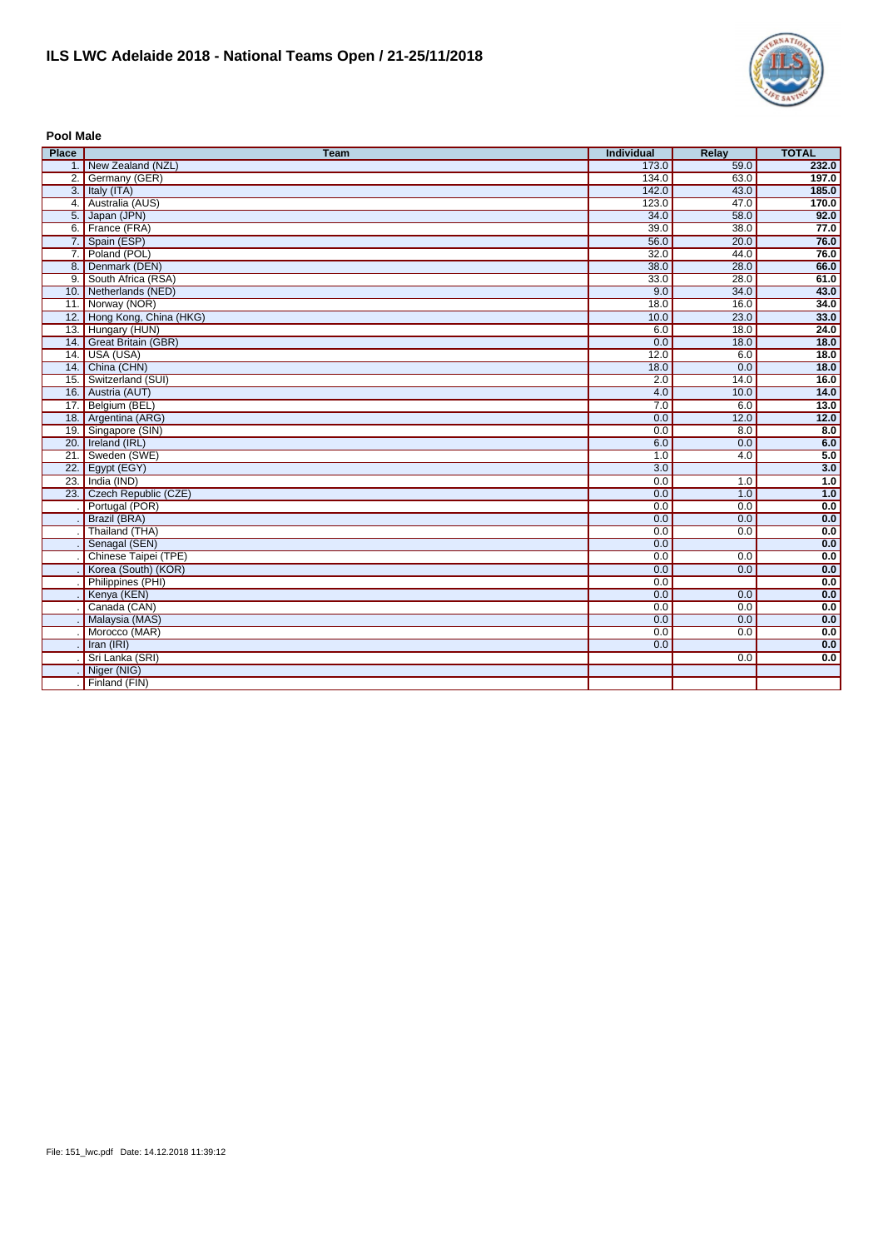

**Pool Male**

| <b>Place</b> | <b>Team</b>                | Individual | Relay | <b>TOTAL</b> |
|--------------|----------------------------|------------|-------|--------------|
|              | 1. New Zealand (NZL)       | 173.0      | 59.0  | 232.0        |
|              | 2. Germany (GER)           | 134.0      | 63.0  | 197.0        |
|              | 3. Italy $(ITA)$           | 142.0      | 43.0  | 185.0        |
|              | 4. Australia (AUS)         | 123.0      | 47.0  | 170.0        |
|              | 5. Japan (JPN)             | 34.0       | 58.0  | 92.0         |
|              | 6. France (FRA)            | 39.0       | 38.0  | 77.0         |
|              | 7. Spain (ESP)             | 56.0       | 20.0  | 76.0         |
|              | 7. Poland (POL)            | 32.0       | 44.0  | 76.0         |
|              | 8. Denmark (DEN)           | 38.0       | 28.0  | 66.0         |
|              | 9. South Africa (RSA)      | 33.0       | 28.0  | 61.0         |
|              | 10. Netherlands (NED)      | 9.0        | 34.0  | 43.0         |
|              | 11. Norway (NOR)           | 18.0       | 16.0  | 34.0         |
|              | 12. Hong Kong, China (HKG) | 10.0       | 23.0  | 33.0         |
|              | 13. Hungary (HUN)          | 6.0        | 18.0  | 24.0         |
|              | 14. Great Britain (GBR)    | 0.0        | 18.0  | 18.0         |
|              | 14. USA (USA)              | 12.0       | 6.0   | 18.0         |
|              | 14. China (CHN)            | 18.0       | 0.0   | 18.0         |
|              | 15. Switzerland (SUI)      | 2.0        | 14.0  | 16.0         |
|              | 16. Austria (AUT)          | 4.0        | 10.0  | 14.0         |
|              | 17. Belgium (BEL)          | 7.0        | 6.0   | 13.0         |
|              | 18. Argentina (ARG)        | 0.0        | 12.0  | $12.0$       |
|              | 19. Singapore (SIN)        | 0.0        | 8.0   | 8.0          |
|              | 20. Ireland (IRL)          | 6.0        | 0.0   | 6.0          |
|              | 21. Sweden (SWE)           | 1.0        | 4.0   | 5.0          |
|              | 22. Egypt (EGY)            | 3.0        |       | 3.0          |
|              | 23. India (IND)            | 0.0        | 1.0   | 1.0          |
|              | 23. Czech Republic (CZE)   | 0.0        | 1.0   | 1.0          |
|              | Portugal (POR)             | 0.0        | 0.0   | 0.0          |
|              | Brazil (BRA)               | 0.0        | 0.0   | 0.0          |
|              | Thailand (THA)             | 0.0        | 0.0   | 0.0          |
|              | Senagal (SEN)              | 0.0        |       | 0.0          |
|              | Chinese Taipei (TPE)       | 0.0        | 0.0   | 0.0          |
|              | Korea (South) (KOR)        | 0.0        | 0.0   | 0.0          |
|              | Philippines (PHI)          | 0.0        |       | 0.0          |
|              | Kenya (KEN)                | 0.0        | 0.0   | 0.0          |
|              | Canada (CAN)               | 0.0        | 0.0   | 0.0          |
|              | Malaysia (MAS)             | 0.0        | 0.0   | 0.0          |
|              | Morocco (MAR)              | 0.0        | 0.0   | 0.0          |
|              | Iran (IRI)                 | 0.0        |       | 0.0          |
|              | Sri Lanka (SRI)            |            | 0.0   | 0.0          |
|              | Niger (NIG)                |            |       |              |
|              | Finland (FIN)              |            |       |              |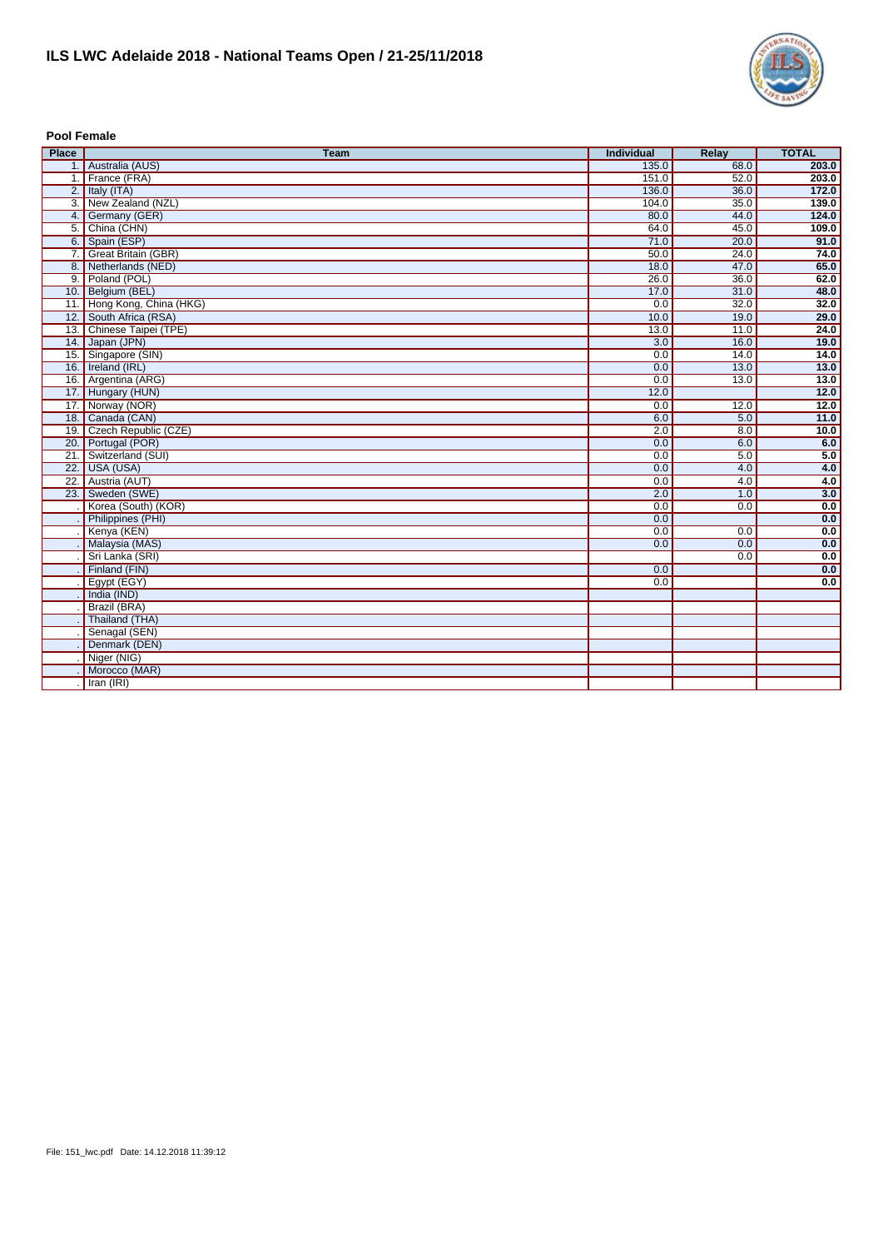

**Pool Female**

| <b>Place</b> | <b>Team</b>                | <b>Individual</b> | <b>Relay</b> | <b>TOTAL</b>      |
|--------------|----------------------------|-------------------|--------------|-------------------|
|              | 1. Australia (AUS)         | 135.0             | 68.0         | 203.0             |
|              | 1. France (FRA)            | 151.0             | 52.0         | 203.0             |
|              | 2. Italy $(ITA)$           | 136.0             | 36.0         | 172.0             |
|              | 3. New Zealand (NZL)       | 104.0             | 35.0         | 139.0             |
|              | 4. Germany (GER)           | 80.0              | 44.0         | 124.0             |
|              | 5. China (CHN)             | 64.0              | 45.0         | 109.0             |
|              | 6. Spain (ESP)             | 71.0              | 20.0         | 91.0              |
|              | 7. Great Britain (GBR)     | 50.0              | 24.0         | 74.0              |
|              | 8. Netherlands (NED)       | 18.0              | 47.0         | 65.0              |
|              | 9. Poland (POL)            | 26.0              | 36.0         | 62.0              |
|              | 10. Belgium (BEL)          | 17.0              | 31.0         | 48.0              |
|              | 11. Hong Kong, China (HKG) | 0.0               | 32.0         | 32.0              |
|              | 12. South Africa (RSA)     | 10.0              | 19.0         | 29.0              |
|              | 13. Chinese Taipei (TPE)   | 13.0              | 11.0         | 24.0              |
|              | 14. Japan (JPN)            | $\overline{3.0}$  | 16.0         | 19.0              |
|              | 15. Singapore (SIN)        | 0.0               | 14.0         | 14.0              |
|              | 16. Ireland (IRL)          | 0.0               | 13.0         | 13.0              |
|              | 16. Argentina (ARG)        | 0.0               | 13.0         | 13.0              |
|              | 17. Hungary (HUN)          | 12.0              |              | $\overline{12.0}$ |
|              | 17. Norway (NOR)           | 0.0               | 12.0         | 12.0              |
|              | 18. Canada (CAN)           | 6.0               | 5.0          | 11.0              |
|              | 19. Czech Republic (CZE)   | 2.0               | 8.0          | 10.0              |
|              | 20. Portugal (POR)         | 0.0               | 6.0          | 6.0               |
|              | 21. Switzerland (SUI)      | 0.0               | 5.0          | 5.0               |
|              | 22. USA (USA)              | 0.0               | 4.0          | 4.0               |
|              | 22. Austria (AUT)          | 0.0               | 4.0          | 4.0               |
|              | 23. Sweden (SWE)           | 2.0               | 1.0          | 3.0               |
|              | Korea (South) (KOR)        | 0.0               | 0.0          | 0.0               |
|              | Philippines (PHI)          | 0.0               |              | 0.0               |
|              | Kenya (KEN)                | 0.0               | 0.0          | 0.0               |
|              | Malaysia (MAS)             | 0.0               | 0.0          | 0.0               |
|              | Sri Lanka (SRI)            |                   | 0.0          | 0.0               |
|              | Finland (FIN)              | 0.0               |              | 0.0               |
|              | Egypt (EGY)                | 0.0               |              | 0.0               |
|              | India (IND)                |                   |              |                   |
|              | Brazil (BRA)               |                   |              |                   |
|              | Thailand (THA)             |                   |              |                   |
|              | Senagal (SEN)              |                   |              |                   |
|              | Denmark (DEN)              |                   |              |                   |
|              | Niger (NIG)                |                   |              |                   |
|              | Morocco (MAR)              |                   |              |                   |
|              | Iran (IRI)                 |                   |              |                   |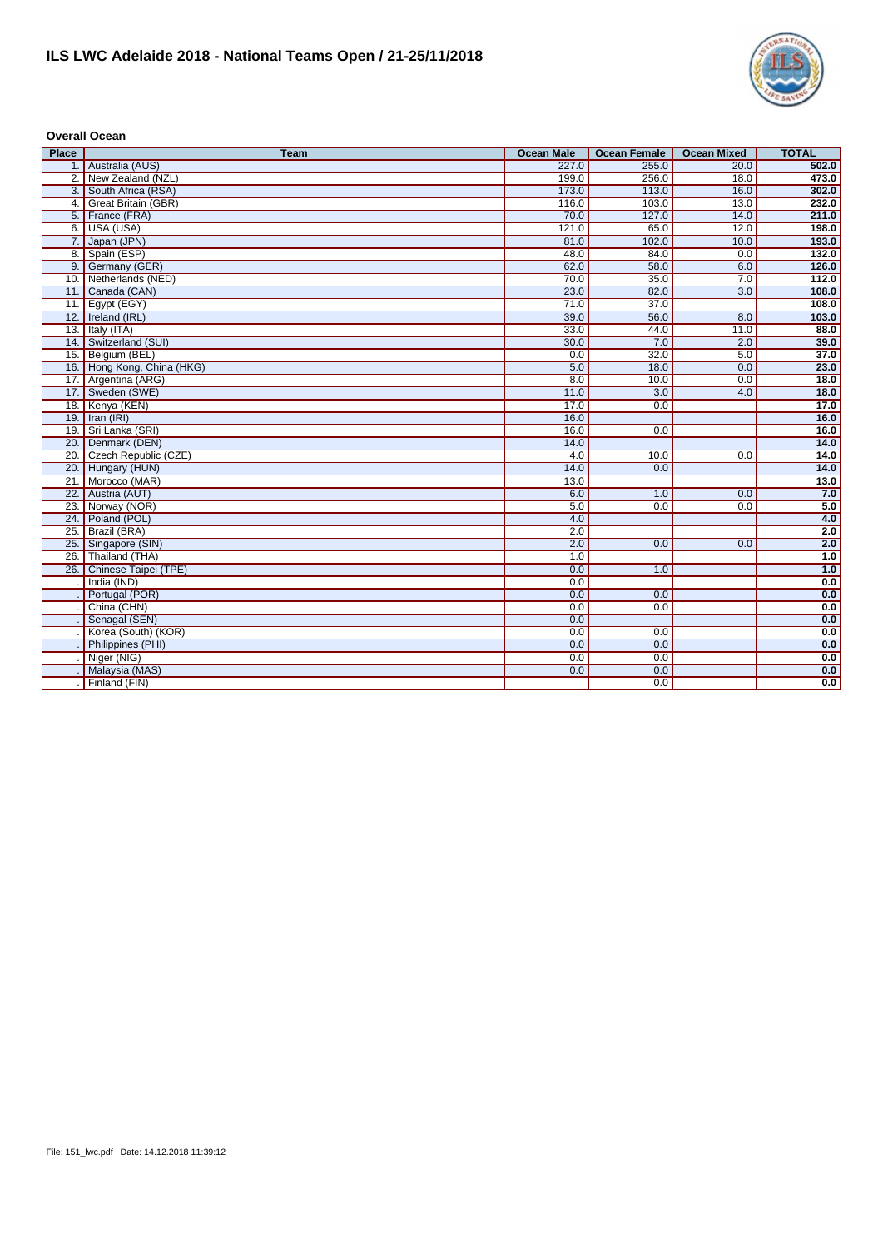

## **Overall Ocean**

| <b>Place</b> | <b>Team</b>                | <b>Ocean Male</b> | <b>Ocean Female</b> | <b>Ocean Mixed</b> | <b>TOTAL</b> |
|--------------|----------------------------|-------------------|---------------------|--------------------|--------------|
|              | 1. Australia (AUS)         | 227.0             | 255.0               | 20.0               | 502.0        |
|              | 2. New Zealand (NZL)       | 199.0             | 256.0               | 18.0               | 473.0        |
|              | 3. South Africa (RSA)      | 173.0             | 113.0               | 16.0               | 302.0        |
|              | 4. Great Britain (GBR)     | 116.0             | 103.0               | 13.0               | 232.0        |
|              | 5. France (FRA)            | 70.0              | 127.0               | 14.0               | 211.0        |
|              | 6. USA (USA)               | 121.0             | 65.0                | 12.0               | 198.0        |
|              | 7. Japan (JPN)             | 81.0              | 102.0               | 10.0               | 193.0        |
|              | 8. Spain (ESP)             | 48.0              | 84.0                | 0.0                | 132.0        |
|              | 9. Germany (GER)           | 62.0              | 58.0                | 6.0                | 126.0        |
|              | 10. Netherlands (NED)      | 70.0              | 35.0                | 7.0                | 112.0        |
|              | 11. Canada (CAN)           | 23.0              | 82.0                | 3.0                | 108.0        |
|              | 11. Egypt (EGY)            | 71.0              | 37.0                |                    | 108.0        |
|              | 12. Ireland (IRL)          | 39.0              | 56.0                | 8.0                | 103.0        |
|              | 13. Italy $(ITA)$          | 33.0              | 44.0                | 11.0               | 88.0         |
|              | 14. Switzerland (SUI)      | 30.0              | 7.0                 | 2.0                | 39.0         |
|              | 15. Belgium (BEL)          | 0.0               | 32.0                | 5.0                | 37.0         |
|              | 16. Hong Kong, China (HKG) | 5.0               | 18.0                | 0.0                | 23.0         |
|              | 17. Argentina (ARG)        | 8.0               | 10.0                | 0.0                | 18.0         |
|              | 17. Sweden (SWE)           | 11.0              | $\overline{3.0}$    | 4.0                | 18.0         |
|              | 18. Kenya (KEN)            | 17.0              | 0.0                 |                    | 17.0         |
|              | 19. Iran (IRI)             | 16.0              |                     |                    | 16.0         |
|              | 19. Sri Lanka (SRI)        | 16.0              | 0.0                 |                    | 16.0         |
|              | 20. Denmark (DEN)          | 14.0              |                     |                    | 14.0         |
|              | 20. Czech Republic (CZE)   | 4.0               | 10.0                | 0.0                | 14.0         |
|              | 20. Hungary (HUN)          | 14.0              | 0.0                 |                    | 14.0         |
|              | 21. Morocco (MAR)          | 13.0              |                     |                    | 13.0         |
|              | 22. Austria (AUT)          | 6.0               | 1.0                 | 0.0                | 7.0          |
| 23.          | Norway (NOR)               | $\overline{5.0}$  | 0.0                 | 0.0                | 5.0          |
|              | 24. Poland (POL)           | 4.0               |                     |                    | 4.0          |
| 25.          | Brazil (BRA)               | 2.0               |                     |                    | 2.0          |
|              | 25. Singapore (SIN)        | 2.0               | 0.0                 | 0.0                | 2.0          |
| 26.          | Thailand (THA)             | 1.0               |                     |                    | 1.0          |
|              | 26. Chinese Taipei (TPE)   | 0.0               | 1.0                 |                    | 1.0          |
|              | India (IND)                | 0.0               |                     |                    | 0.0          |
|              | Portugal (POR)             | 0.0               | 0.0                 |                    | 0.0          |
|              | China (CHN)                | 0.0               | 0.0                 |                    | 0.0          |
|              | Senagal (SEN)              | 0.0               |                     |                    | 0.0          |
|              | Korea (South) (KOR)        | 0.0               | 0.0                 |                    | 0.0          |
|              | Philippines (PHI)          | 0.0               | 0.0                 |                    | 0.0          |
|              | Niger (NIG)                | 0.0               | 0.0                 |                    | 0.0          |
|              | Malaysia (MAS)             | 0.0               | 0.0                 |                    | 0.0          |
|              | Finland (FIN)              |                   | 0.0                 |                    | 0.0          |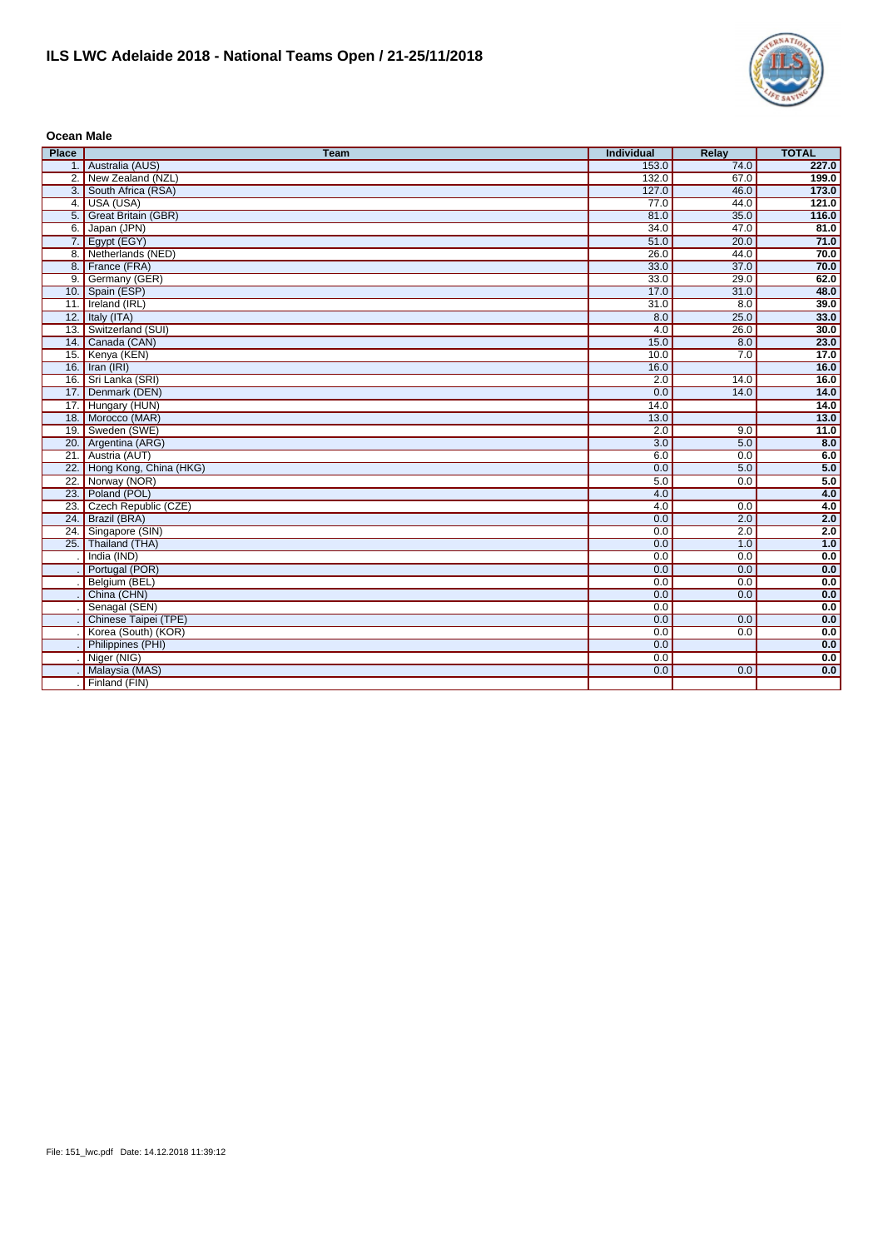

**Ocean Male**

| <b>Place</b> | <b>Team</b>                | <b>Individual</b> | <b>Relay</b> | <b>TOTAL</b> |
|--------------|----------------------------|-------------------|--------------|--------------|
|              | 1. Australia (AUS)         | 153.0             | 74.0         | 227.0        |
|              | 2. New Zealand (NZL)       | 132.0             | 67.0         | 199.0        |
|              | 3. South Africa (RSA)      | 127.0             | 46.0         | 173.0        |
|              | 4. USA (USA)               | 77.0              | 44.0         | 121.0        |
|              | 5. Great Britain (GBR)     | 81.0              | 35.0         | 116.0        |
|              | 6. Japan (JPN)             | 34.0              | 47.0         | 81.0         |
|              | 7. Egypt (EGY)             | 51.0              | 20.0         | 71.0         |
|              | 8. Netherlands (NED)       | 26.0              | 44.0         | 70.0         |
|              | 8. France (FRA)            | 33.0              | 37.0         | 70.0         |
|              | 9. Germany (GER)           | 33.0              | 29.0         | 62.0         |
|              | 10. Spain (ESP)            | 17.0              | 31.0         | 48.0         |
|              | 11. Ireland (IRL)          | 31.0              | 8.0          | 39.0         |
|              | 12. Italy (ITA)            | 8.0               | 25.0         | 33.0         |
|              | 13. Switzerland (SUI)      | 4.0               | 26.0         | 30.0         |
|              | 14. Canada (CAN)           | 15.0              | 8.0          | 23.0         |
|              | 15. Kenya (KEN)            | 10.0              | 7.0          | 17.0         |
|              | 16. Iran (IRI)             | 16.0              |              | 16.0         |
|              | 16. Sri Lanka (SRI)        | 2.0               | 14.0         | 16.0         |
|              | 17. Denmark (DEN)          | 0.0               | 14.0         | 14.0         |
|              | 17. Hungary (HUN)          | 14.0              |              | 14.0         |
|              | 18. Morocco (MAR)          | 13.0              |              | 13.0         |
| 19.          | Sweden (SWE)               | 2.0               | 9.0          | 11.0         |
| 20.          | Argentina (ARG)            | $\overline{3.0}$  | 5.0          | 8.0          |
|              | 21. Austria (AUT)          | 6.0               | 0.0          | 6.0          |
|              | 22. Hong Kong, China (HKG) | 0.0               | 5.0          | 5.0          |
|              | 22. Norway (NOR)           | 5.0               | 0.0          | 5.0          |
|              | 23. Poland (POL)           | 4.0               |              | 4.0          |
|              | 23. Czech Republic (CZE)   | 4.0               | 0.0          | 4.0          |
|              | 24. Brazil (BRA)           | 0.0               | 2.0          | 2.0          |
| 24.          | Singapore (SIN)            | 0.0               | 2.0          | 2.0          |
|              | 25. Thailand (THA)         | 0.0               | 1.0          | 1.0          |
|              | India (IND)                | 0.0               | 0.0          | 0.0          |
|              | Portugal (POR)             | 0.0               | 0.0          | 0.0          |
|              | Belgium (BEL)              | 0.0               | 0.0          | 0.0          |
|              | China (CHN)                | 0.0               | 0.0          | 0.0          |
|              | Senagal (SEN)              | 0.0               |              | 0.0          |
|              | Chinese Taipei (TPE)       | 0.0               | 0.0          | 0.0          |
|              | Korea (South) (KOR)        | 0.0               | 0.0          | 0.0          |
|              | Philippines (PHI)          | 0.0               |              | 0.0          |
|              | Niger (NIG)                | 0.0               |              | 0.0          |
|              | Malaysia (MAS)             | 0.0               | 0.0          | 0.0          |
|              | Finland (FIN)              |                   |              |              |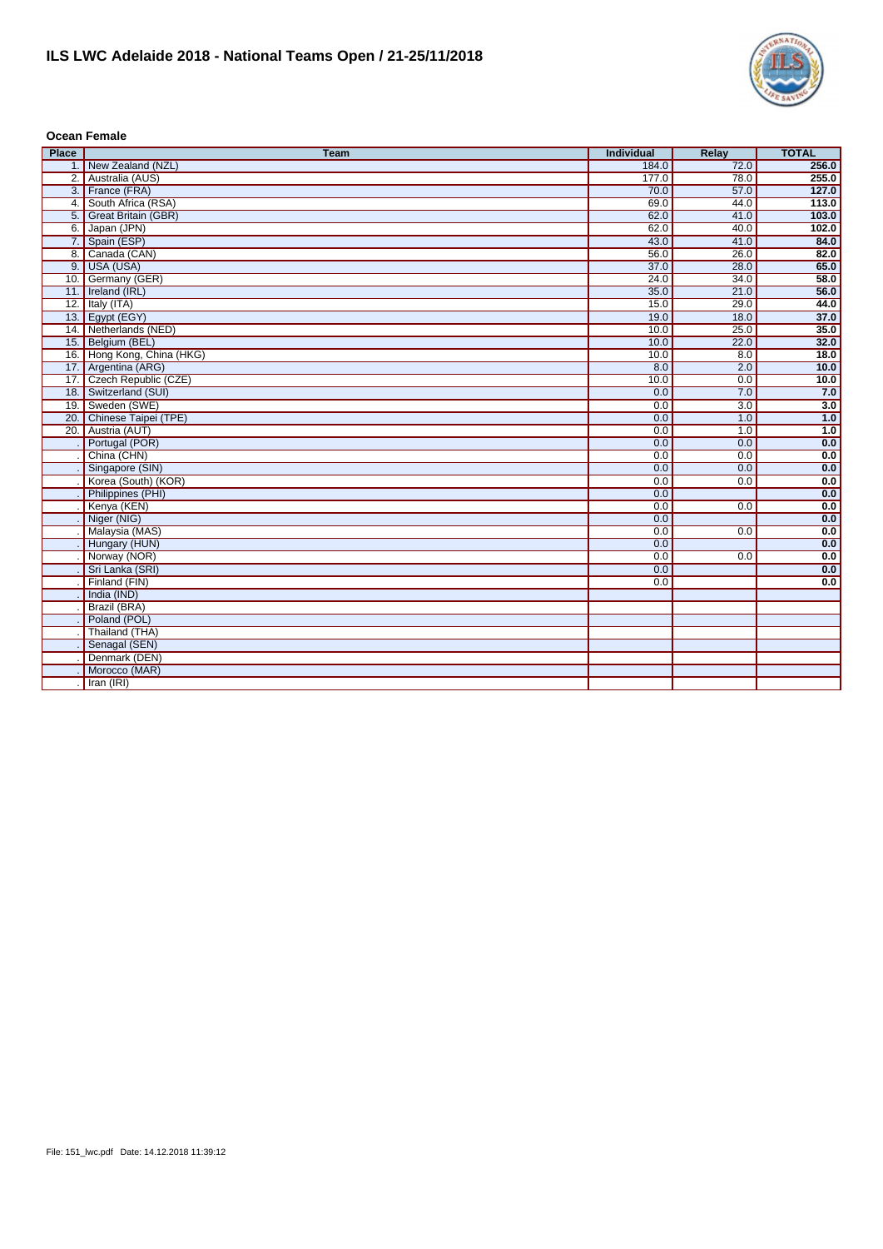

## **Ocean Female**

| <b>Place</b>    | <b>Team</b>                | Individual | Relay            | <b>TOTAL</b> |
|-----------------|----------------------------|------------|------------------|--------------|
|                 | 1. New Zealand (NZL)       | 184.0      | 72.0             | 256.0        |
|                 | 2. Australia (AUS)         | 177.0      | 78.0             | 255.0        |
|                 | 3. France (FRA)            | 70.0       | 57.0             | 127.0        |
|                 | 4. South Africa (RSA)      | 69.0       | 44.0             | 113.0        |
|                 | 5. Great Britain (GBR)     | 62.0       | 41.0             | 103.0        |
|                 | 6. Japan (JPN)             | 62.0       | 40.0             | 102.0        |
|                 | 7. Spain (ESP)             | 43.0       | 41.0             | 84.0         |
|                 | 8. Canada (CAN)            | 56.0       | 26.0             | 82.0         |
|                 | 9. USA (USA)               | 37.0       | 28.0             | 65.0         |
|                 | 10. Germany (GER)          | 24.0       | 34.0             | 58.0         |
|                 | 11. Ireland (IRL)          | 35.0       | 21.0             | 56.0         |
|                 | 12. Italy $(ITA)$          | 15.0       | 29.0             | 44.0         |
|                 | 13. Egypt (EGY)            | 19.0       | 18.0             | 37.0         |
|                 | 14. Netherlands (NED)      | 10.0       | 25.0             | 35.0         |
|                 | 15. Belgium (BEL)          | 10.0       | 22.0             | 32.0         |
|                 | 16. Hong Kong, China (HKG) | 10.0       | 8.0              | 18.0         |
|                 | 17. Argentina (ARG)        | 8.0        | 2.0              | 10.0         |
|                 | 17. Czech Republic (CZE)   | 10.0       | 0.0              | 10.0         |
|                 | 18. Switzerland (SUI)      | 0.0        | 7.0              | 7.0          |
|                 | 19. Sweden (SWE)           | 0.0        | $\overline{3.0}$ | 3.0          |
|                 | 20. Chinese Taipei (TPE)   | 0.0        | 1.0              | 1.0          |
| $\overline{20}$ | Austria (AUT)              | 0.0        | 1.0              | 1.0          |
|                 | Portugal (POR)             | 0.0        | 0.0              | 0.0          |
|                 | China (CHN)                | 0.0        | 0.0              | 0.0          |
|                 | Singapore (SIN)            | 0.0        | 0.0              | 0.0          |
|                 | Korea (South) (KOR)        | 0.0        | 0.0              | 0.0          |
|                 | Philippines (PHI)          | 0.0        |                  | 0.0          |
|                 | Kenya (KEN)                | 0.0        | 0.0              | 0.0          |
|                 | Niger (NIG)                | 0.0        |                  | 0.0          |
|                 | Malaysia (MAS)             | 0.0        | 0.0              | 0.0          |
|                 | Hungary (HUN)              | 0.0        |                  | 0.0          |
|                 | Norway (NOR)               | 0.0        | 0.0              | 0.0          |
|                 | Sri Lanka (SRI)            | 0.0        |                  | 0.0          |
|                 | Finland (FIN)              | 0.0        |                  | 0.0          |
|                 | India (IND)                |            |                  |              |
|                 | Brazil (BRA)               |            |                  |              |
|                 | Poland (POL)               |            |                  |              |
|                 | Thailand (THA)             |            |                  |              |
|                 | Senagal (SEN)              |            |                  |              |
|                 | Denmark (DEN)              |            |                  |              |
|                 | Morocco (MAR)              |            |                  |              |
|                 | Iran (IRI)                 |            |                  |              |